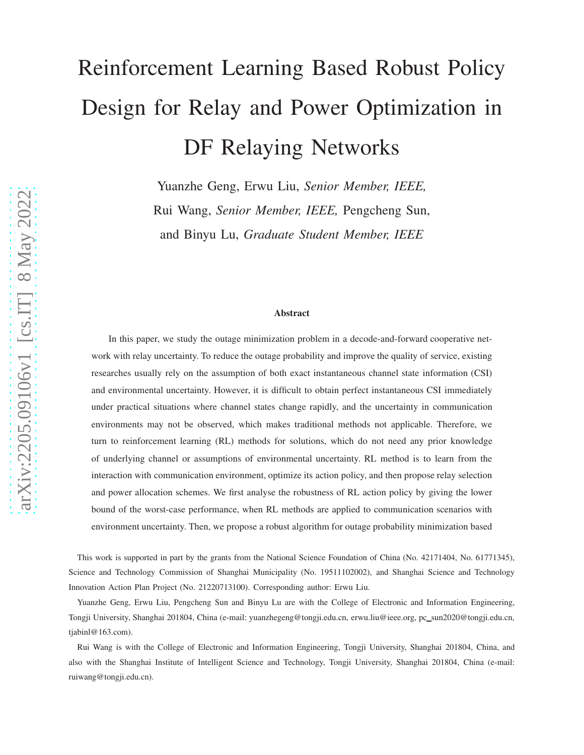# Reinforcement Learning Based Robust Policy Design for Relay and Power Optimization in DF Relaying Networks

Yuanzhe Geng, Erwu Liu, *Senior Member, IEEE,* Rui Wang, *Senior Member, IEEE,* Pengcheng Sun, and Binyu Lu, *Graduate Student Member, IEEE*

#### Abstract

In this paper, we study the outage minimization problem in a decode-and-forward cooperative network with relay uncertainty. To reduce the outage probability and improve the quality of service, existing researches usually rely on the assumption of both exact instantaneous channel state information (CSI) and environmental uncertainty. However, it is difficult to obtain perfect instantaneous CSI immediately under practical situations where channel states change rapidly, and the uncertainty in communication environments may not be observed, which makes traditional methods not applicable. Therefore, we turn to reinforcement learning (RL) methods for solutions, which do not need any prior knowledge of underlying channel or assumptions of environmental uncertainty. RL method is to learn from the interaction with communication environment, optimize its action policy, and then propose relay selection and power allocation schemes. We first analyse the robustness of RL action policy by giving the lower bound of the worst-case performance, when RL methods are applied to communication scenarios with environment uncertainty. Then, we propose a robust algorithm for outage probability minimization based

This work is supported in part by the grants from the National Science Foundation of China (No. 42171404, No. 61771345), Science and Technology Commission of Shanghai Municipality (No. 19511102002), and Shanghai Science and Technology Innovation Action Plan Project (No. 21220713100). Corresponding author: Erwu Liu.

Yuanzhe Geng, Erwu Liu, Pengcheng Sun and Binyu Lu are with the College of Electronic and Information Engineering, Tongji University, Shanghai 201804, China (e-mail: yuanzhegeng@tongji.edu.cn, erwu.liu@ieee.org, pc sun2020@tongji.edu.cn, tjabinl@163.com).

Rui Wang is with the College of Electronic and Information Engineering, Tongji University, Shanghai 201804, China, and also with the Shanghai Institute of Intelligent Science and Technology, Tongji University, Shanghai 201804, China (e-mail: ruiwang@tongji.edu.cn).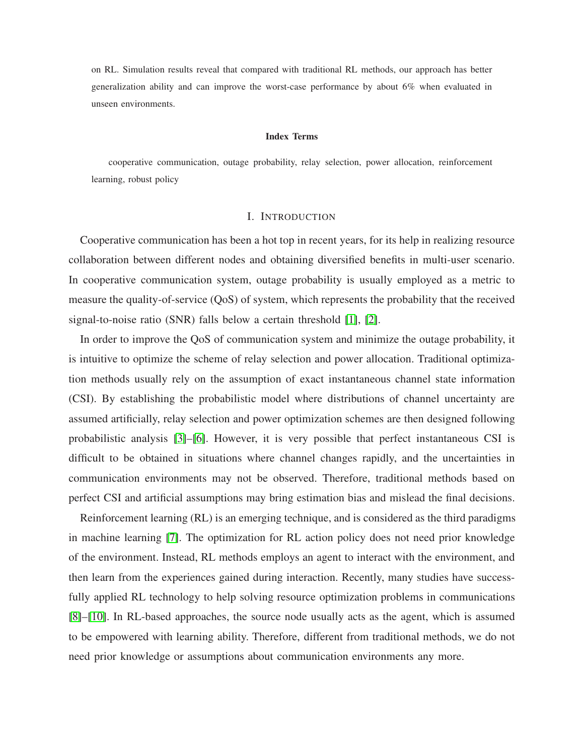on RL. Simulation results reveal that compared with traditional RL methods, our approach has better generalization ability and can improve the worst-case performance by about 6% when evaluated in unseen environments.

#### Index Terms

cooperative communication, outage probability, relay selection, power allocation, reinforcement learning, robust policy

#### I. INTRODUCTION

Cooperative communication has been a hot top in recent years, for its help in realizing resource collaboration between different nodes and obtaining diversified benefits in multi-user scenario. In cooperative communication system, outage probability is usually employed as a metric to measure the quality-of-service (QoS) of system, which represents the probability that the received signal-to-noise ratio (SNR) falls below a certain threshold [\[1\]](#page-19-0), [\[2\]](#page-19-1).

In order to improve the QoS of communication system and minimize the outage probability, it is intuitive to optimize the scheme of relay selection and power allocation. Traditional optimization methods usually rely on the assumption of exact instantaneous channel state information (CSI). By establishing the probabilistic model where distributions of channel uncertainty are assumed artificially, relay selection and power optimization schemes are then designed following probabilistic analysis [\[3\]](#page-19-2)–[\[6\]](#page-20-0). However, it is very possible that perfect instantaneous CSI is difficult to be obtained in situations where channel changes rapidly, and the uncertainties in communication environments may not be observed. Therefore, traditional methods based on perfect CSI and artificial assumptions may bring estimation bias and mislead the final decisions.

Reinforcement learning (RL) is an emerging technique, and is considered as the third paradigms in machine learning [\[7\]](#page-20-1). The optimization for RL action policy does not need prior knowledge of the environment. Instead, RL methods employs an agent to interact with the environment, and then learn from the experiences gained during interaction. Recently, many studies have successfully applied RL technology to help solving resource optimization problems in communications [\[8\]](#page-20-2)–[\[10\]](#page-20-3). In RL-based approaches, the source node usually acts as the agent, which is assumed to be empowered with learning ability. Therefore, different from traditional methods, we do not need prior knowledge or assumptions about communication environments any more.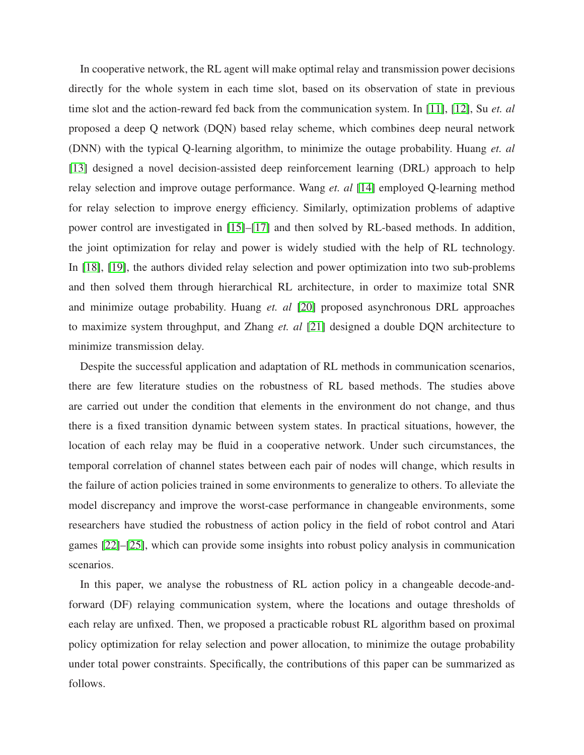In cooperative network, the RL agent will make optimal relay and transmission power decisions directly for the whole system in each time slot, based on its observation of state in previous time slot and the action-reward fed back from the communication system. In [\[11\]](#page-20-4), [\[12\]](#page-20-5), Su *et. al* proposed a deep Q network (DQN) based relay scheme, which combines deep neural network (DNN) with the typical Q-learning algorithm, to minimize the outage probability. Huang *et. al* [\[13\]](#page-20-6) designed a novel decision-assisted deep reinforcement learning (DRL) approach to help relay selection and improve outage performance. Wang *et. al* [\[14\]](#page-20-7) employed Q-learning method for relay selection to improve energy efficiency. Similarly, optimization problems of adaptive power control are investigated in [\[15\]](#page-20-8)–[\[17\]](#page-20-9) and then solved by RL-based methods. In addition, the joint optimization for relay and power is widely studied with the help of RL technology. In [\[18\]](#page-20-10), [\[19\]](#page-20-11), the authors divided relay selection and power optimization into two sub-problems and then solved them through hierarchical RL architecture, in order to maximize total SNR and minimize outage probability. Huang *et. al* [\[20\]](#page-20-12) proposed asynchronous DRL approaches to maximize system throughput, and Zhang *et. al* [\[21\]](#page-20-13) designed a double DQN architecture to minimize transmission delay.

Despite the successful application and adaptation of RL methods in communication scenarios, there are few literature studies on the robustness of RL based methods. The studies above are carried out under the condition that elements in the environment do not change, and thus there is a fixed transition dynamic between system states. In practical situations, however, the location of each relay may be fluid in a cooperative network. Under such circumstances, the temporal correlation of channel states between each pair of nodes will change, which results in the failure of action policies trained in some environments to generalize to others. To alleviate the model discrepancy and improve the worst-case performance in changeable environments, some researchers have studied the robustness of action policy in the field of robot control and Atari games [\[22\]](#page-20-14)–[\[25\]](#page-21-0), which can provide some insights into robust policy analysis in communication scenarios.

In this paper, we analyse the robustness of RL action policy in a changeable decode-andforward (DF) relaying communication system, where the locations and outage thresholds of each relay are unfixed. Then, we proposed a practicable robust RL algorithm based on proximal policy optimization for relay selection and power allocation, to minimize the outage probability under total power constraints. Specifically, the contributions of this paper can be summarized as follows.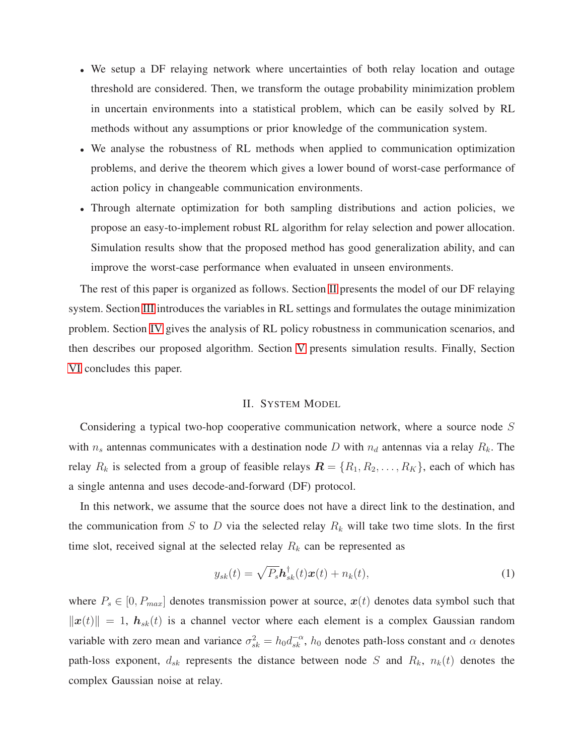- We setup a DF relaying network where uncertainties of both relay location and outage threshold are considered. Then, we transform the outage probability minimization problem in uncertain environments into a statistical problem, which can be easily solved by RL methods without any assumptions or prior knowledge of the communication system.
- We analyse the robustness of RL methods when applied to communication optimization problems, and derive the theorem which gives a lower bound of worst-case performance of action policy in changeable communication environments.
- Through alternate optimization for both sampling distributions and action policies, we propose an easy-to-implement robust RL algorithm for relay selection and power allocation. Simulation results show that the proposed method has good generalization ability, and can improve the worst-case performance when evaluated in unseen environments.

The rest of this paper is organized as follows. Section [II](#page-3-0) presents the model of our DF relaying system. Section [III](#page-4-0) introduces the variables in RL settings and formulates the outage minimization problem. Section [IV](#page-7-0) gives the analysis of RL policy robustness in communication scenarios, and then describes our proposed algorithm. Section [V](#page-12-0) presents simulation results. Finally, Section [VI](#page-17-0) concludes this paper.

## II. SYSTEM MODEL

<span id="page-3-0"></span>Considering a typical two-hop cooperative communication network, where a source node S with  $n_s$  antennas communicates with a destination node D with  $n_d$  antennas via a relay  $R_k$ . The relay  $R_k$  is selected from a group of feasible relays  $\mathbf{R} = \{R_1, R_2, \ldots, R_K\}$ , each of which has a single antenna and uses decode-and-forward (DF) protocol.

In this network, we assume that the source does not have a direct link to the destination, and the communication from S to D via the selected relay  $R_k$  will take two time slots. In the first time slot, received signal at the selected relay  $R_k$  can be represented as

$$
y_{sk}(t) = \sqrt{P_s} \mathbf{h}_{sk}^{\dagger}(t) \mathbf{x}(t) + n_k(t), \qquad (1)
$$

where  $P_s \in [0, P_{max}]$  denotes transmission power at source,  $x(t)$  denotes data symbol such that  $\|\boldsymbol{x}(t)\| = 1$ ,  $\boldsymbol{h}_{sk}(t)$  is a channel vector where each element is a complex Gaussian random variable with zero mean and variance  $\sigma_{sk}^2 = h_0 d_{sk}^{-\alpha}$ ,  $h_0$  denotes path-loss constant and  $\alpha$  denotes path-loss exponent,  $d_{sk}$  represents the distance between node S and  $R_k$ ,  $n_k(t)$  denotes the complex Gaussian noise at relay.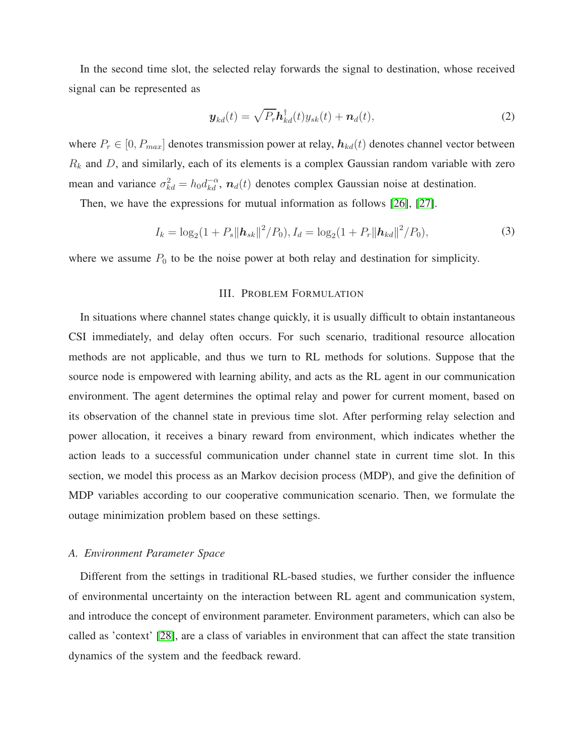In the second time slot, the selected relay forwards the signal to destination, whose received signal can be represented as

$$
\boldsymbol{y}_{kd}(t) = \sqrt{P_r} \boldsymbol{h}_{kd}^{\dagger}(t) y_{sk}(t) + \boldsymbol{n}_d(t), \qquad (2)
$$

where  $P_r \in [0, P_{max}]$  denotes transmission power at relay,  $h_{kd}(t)$  denotes channel vector between  $R_k$  and D, and similarly, each of its elements is a complex Gaussian random variable with zero mean and variance  $\sigma_{kd}^2 = h_0 d_{kd}^{-\alpha}$ ,  $n_d(t)$  denotes complex Gaussian noise at destination.

Then, we have the expressions for mutual information as follows [\[26\]](#page-21-1), [\[27\]](#page-21-2).

$$
I_k = \log_2(1 + P_s \|\mathbf{h}_{sk}\|^2 / P_0), I_d = \log_2(1 + P_r \|\mathbf{h}_{kd}\|^2 / P_0),
$$
\n(3)

<span id="page-4-0"></span>where we assume  $P_0$  to be the noise power at both relay and destination for simplicity.

# III. PROBLEM FORMULATION

In situations where channel states change quickly, it is usually difficult to obtain instantaneous CSI immediately, and delay often occurs. For such scenario, traditional resource allocation methods are not applicable, and thus we turn to RL methods for solutions. Suppose that the source node is empowered with learning ability, and acts as the RL agent in our communication environment. The agent determines the optimal relay and power for current moment, based on its observation of the channel state in previous time slot. After performing relay selection and power allocation, it receives a binary reward from environment, which indicates whether the action leads to a successful communication under channel state in current time slot. In this section, we model this process as an Markov decision process (MDP), and give the definition of MDP variables according to our cooperative communication scenario. Then, we formulate the outage minimization problem based on these settings.

# *A. Environment Parameter Space*

Different from the settings in traditional RL-based studies, we further consider the influence of environmental uncertainty on the interaction between RL agent and communication system, and introduce the concept of environment parameter. Environment parameters, which can also be called as 'context' [\[28\]](#page-21-3), are a class of variables in environment that can affect the state transition dynamics of the system and the feedback reward.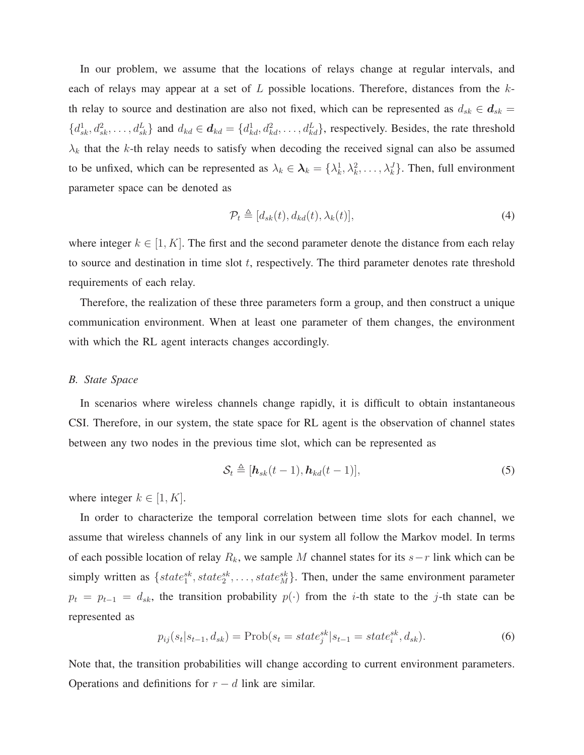In our problem, we assume that the locations of relays change at regular intervals, and each of relays may appear at a set of  $L$  possible locations. Therefore, distances from the  $k$ th relay to source and destination are also not fixed, which can be represented as  $d_{sk} \in d_{sk}$  $\{d_{sk}^1, d_{sk}^2, \ldots, d_{sk}^L\}$  and  $d_{kd} \in \mathbf{d}_{kd} = \{d_{kd}^1, d_{kd}^2, \ldots, d_{kd}^L\}$ , respectively. Besides, the rate threshold  $\lambda_k$  that the k-th relay needs to satisfy when decoding the received signal can also be assumed to be unfixed, which can be represented as  $\lambda_k \in \mathcal{X}_k = {\lambda_k^1, \lambda_k^2, \ldots, \lambda_k^J}$ . Then, full environment parameter space can be denoted as

$$
\mathcal{P}_t \triangleq [d_{sk}(t), d_{kd}(t), \lambda_k(t)], \qquad (4)
$$

where integer  $k \in [1, K]$ . The first and the second parameter denote the distance from each relay to source and destination in time slot  $t$ , respectively. The third parameter denotes rate threshold requirements of each relay.

Therefore, the realization of these three parameters form a group, and then construct a unique communication environment. When at least one parameter of them changes, the environment with which the RL agent interacts changes accordingly.

## *B. State Space*

In scenarios where wireless channels change rapidly, it is difficult to obtain instantaneous CSI. Therefore, in our system, the state space for RL agent is the observation of channel states between any two nodes in the previous time slot, which can be represented as

$$
\mathcal{S}_t \triangleq [\mathbf{h}_{sk}(t-1), \mathbf{h}_{kd}(t-1)],\tag{5}
$$

where integer  $k \in [1, K]$ .

In order to characterize the temporal correlation between time slots for each channel, we assume that wireless channels of any link in our system all follow the Markov model. In terms of each possible location of relay  $R_k$ , we sample M channel states for its  $s-r$  link which can be simply written as  $\{state_1^{sk}, state_2^{sk}, \ldots, state_M^{sk}\}$ . Then, under the same environment parameter  $p_t = p_{t-1} = d_{sk}$ , the transition probability  $p(\cdot)$  from the *i*-th state to the *j*-th state can be represented as

$$
p_{ij}(s_t|s_{t-1}, d_{sk}) = \text{Prob}(s_t = state_j^{sk}|s_{t-1} = state_i^{sk}, d_{sk}).
$$
\n(6)

Note that, the transition probabilities will change according to current environment parameters. Operations and definitions for  $r - d$  link are similar.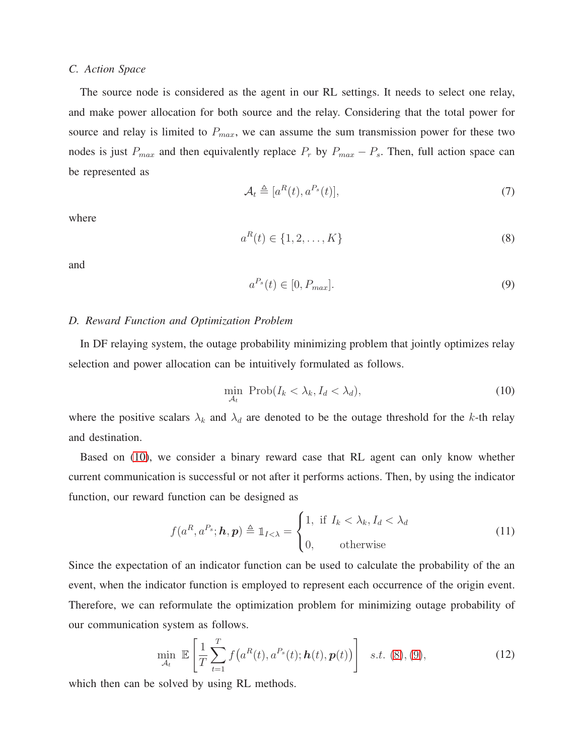## *C. Action Space*

The source node is considered as the agent in our RL settings. It needs to select one relay, and make power allocation for both source and the relay. Considering that the total power for source and relay is limited to  $P_{max}$ , we can assume the sum transmission power for these two nodes is just  $P_{max}$  and then equivalently replace  $P_r$  by  $P_{max} - P_s$ . Then, full action space can be represented as

$$
\mathcal{A}_t \triangleq [a^R(t), a^{P_s}(t)],\tag{7}
$$

where

<span id="page-6-1"></span>
$$
a^{R}(t) \in \{1, 2, \dots, K\}
$$
 (8)

and

<span id="page-6-2"></span>
$$
a^{P_s}(t) \in [0, P_{max}]. \tag{9}
$$

# *D. Reward Function and Optimization Problem*

In DF relaying system, the outage probability minimizing problem that jointly optimizes relay selection and power allocation can be intuitively formulated as follows.

<span id="page-6-0"></span>
$$
\min_{\mathcal{A}_t} \text{Prob}(I_k < \lambda_k, I_d < \lambda_d),\tag{10}
$$

where the positive scalars  $\lambda_k$  and  $\lambda_d$  are denoted to be the outage threshold for the k-th relay and destination.

Based on [\(10\)](#page-6-0), we consider a binary reward case that RL agent can only know whether current communication is successful or not after it performs actions. Then, by using the indicator function, our reward function can be designed as

$$
f(a^R, a^{P_s}; \mathbf{h}, \mathbf{p}) \triangleq \mathbb{1}_{I < \lambda} = \begin{cases} 1, & \text{if } I_k < \lambda_k, I_d < \lambda_d \\ 0, & \text{otherwise} \end{cases}
$$
(11)

Since the expectation of an indicator function can be used to calculate the probability of the an event, when the indicator function is employed to represent each occurrence of the origin event. Therefore, we can reformulate the optimization problem for minimizing outage probability of our communication system as follows.

<span id="page-6-3"></span>
$$
\min_{\mathcal{A}_t} \ \mathbb{E}\left[\frac{1}{T} \sum_{t=1}^T f\big(a^R(t), a^{P_s}(t); \bm{h}(t), \bm{p}(t)\big)\right] \quad s.t. \ (8), (9), \tag{12}
$$

which then can be solved by using RL methods.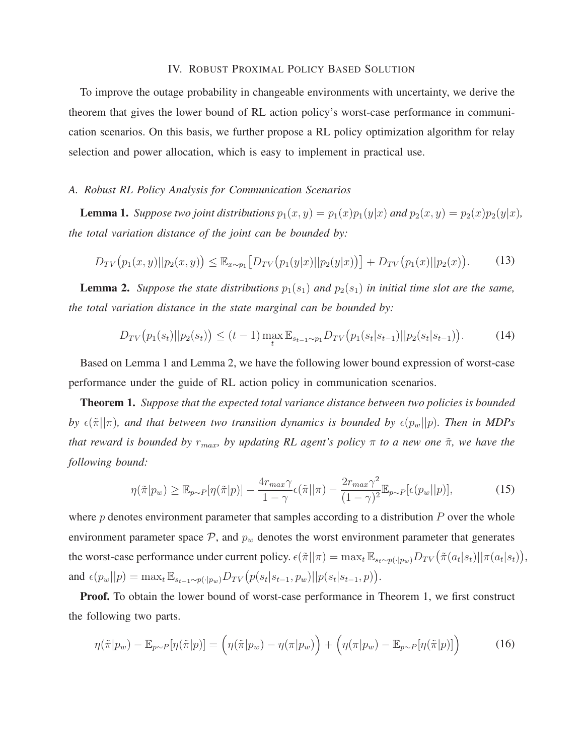## IV. ROBUST PROXIMAL POLICY BASED SOLUTION

<span id="page-7-0"></span>To improve the outage probability in changeable environments with uncertainty, we derive the theorem that gives the lower bound of RL action policy's worst-case performance in communication scenarios. On this basis, we further propose a RL policy optimization algorithm for relay selection and power allocation, which is easy to implement in practical use.

#### *A. Robust RL Policy Analysis for Communication Scenarios*

**Lemma 1.** *Suppose two joint distributions*  $p_1(x, y) = p_1(x)p_1(y|x)$  *and*  $p_2(x, y) = p_2(x)p_2(y|x)$ *, the total variation distance of the joint can be bounded by:*

$$
D_{TV}(p_1(x,y)||p_2(x,y)) \leq \mathbb{E}_{x \sim p_1} \big[ D_{TV}(p_1(y|x)||p_2(y|x)) \big] + D_{TV}(p_1(x)||p_2(x)). \tag{13}
$$

**Lemma 2.** *Suppose the state distributions*  $p_1(s_1)$  *and*  $p_2(s_1)$  *in initial time slot are the same, the total variation distance in the state marginal can be bounded by:*

$$
D_{TV}(p_1(s_t)||p_2(s_t)) \le (t-1) \max_t \mathbb{E}_{s_{t-1} \sim p_1} D_{TV}(p_1(s_t|s_{t-1})||p_2(s_t|s_{t-1})). \tag{14}
$$

Based on Lemma 1 and Lemma 2, we have the following lower bound expression of worst-case performance under the guide of RL action policy in communication scenarios.

Theorem 1. *Suppose that the expected total variance distance between two policies is bounded by*  $\epsilon(\tilde{\pi}||\pi)$ , and that between two transition dynamics is bounded by  $\epsilon(p_w||p)$ . Then in MDPs *that reward is bounded by*  $r_{max}$ *, by updating RL agent's policy* π *to a new one*  $\tilde{\pi}$ *, we have the following bound:*

<span id="page-7-1"></span>
$$
\eta(\tilde{\pi}|p_w) \ge \mathbb{E}_{p \sim P}[\eta(\tilde{\pi}|p)] - \frac{4r_{max}\gamma}{1-\gamma} \epsilon(\tilde{\pi}||\pi) - \frac{2r_{max}\gamma^2}{(1-\gamma)^2} \mathbb{E}_{p \sim P}[\epsilon(p_w||p)],\tag{15}
$$

where  $p$  denotes environment parameter that samples according to a distribution  $P$  over the whole environment parameter space  $P$ , and  $p_w$  denotes the worst environment parameter that generates the worst-case performance under current policy.  $\epsilon(\pi || \pi) = \max_t \mathbb{E}_{s_t \sim p(\cdot | p_w)} D_{TV}(\tilde{\pi}(a_t | s_t) || \pi(a_t | s_t)),$ and  $\epsilon(p_w||p) = \max_t \mathbb{E}_{s_{t-1} \sim p(\cdot|p_w)} D_{TV}(p(s_t|s_{t-1}, p_w)||p(s_t|s_{t-1}, p)).$ 

Proof. To obtain the lower bound of worst-case performance in Theorem 1, we first construct the following two parts.

$$
\eta(\tilde{\pi}|p_w) - \mathbb{E}_{p \sim P}[\eta(\tilde{\pi}|p)] = (\eta(\tilde{\pi}|p_w) - \eta(\pi|p_w)) + (\eta(\pi|p_w) - \mathbb{E}_{p \sim P}[\eta(\tilde{\pi}|p)])
$$
(16)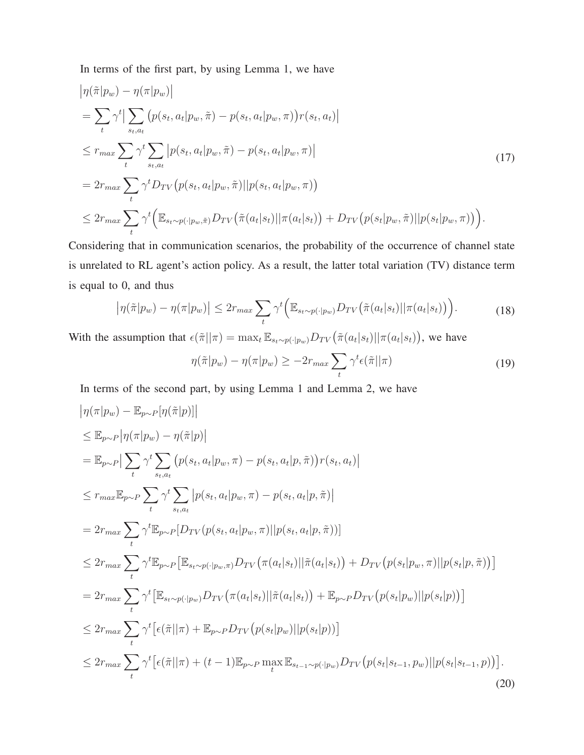In terms of the first part, by using Lemma 1, we have

$$
\begin{split}\n&|\eta(\tilde{\pi}|p_w) - \eta(\pi|p_w)| \\
&= \sum_{t} \gamma^{t} \left| \sum_{s_t, a_t} \left( p(s_t, a_t | p_w, \tilde{\pi}) - p(s_t, a_t | p_w, \pi) \right) r(s_t, a_t) \right| \\
&\leq r_{max} \sum_{s_t, a_t} \gamma^{t} \sum_{s_t, a_t} \left| p(s_t, a_t | p_w, \tilde{\pi}) - p(s_t, a_t | p_w, \pi) \right| \\
&= 2r_{max} \sum_{t} \gamma^{t} D_{TV} \left( p(s_t, a_t | p_w, \tilde{\pi}) || p(s_t, a_t | p_w, \pi) \right) \\
&\leq 2r_{max} \sum_{t} \gamma^{t} \left( \mathbb{E}_{s_t \sim p(\cdot | p_w, \tilde{\pi})} D_{TV} \left( \tilde{\pi}(a_t | s_t) || \pi(a_t | s_t) \right) + D_{TV} \left( p(s_t | p_w, \tilde{\pi}) || p(s_t | p_w, \pi) \right) \right).\n\end{split} \tag{17}
$$

Considering that in communication scenarios, the probability of the occurrence of channel state is unrelated to RL agent's action policy. As a result, the latter total variation (TV) distance term is equal to 0, and thus

$$
\left|\eta(\tilde{\pi}|p_w) - \eta(\pi|p_w)\right| \le 2r_{max} \sum_t \gamma^t \Big(\mathbb{E}_{s_t \sim p(\cdot|p_w)} D_{TV}\big(\tilde{\pi}(a_t|s_t) || \pi(a_t|s_t)\big)\Big). \tag{18}
$$

With the assumption that  $\epsilon(\pi||\pi) = \max_t \mathbb{E}_{s_t \sim p(\cdot|p_w)} D_{TV}(\tilde{\pi}(a_t|s_t)||\pi(a_t|s_t)),$  we have

<span id="page-8-0"></span>
$$
\eta(\tilde{\pi}|p_w) - \eta(\pi|p_w) \ge -2r_{max} \sum_{t} \gamma^t \epsilon(\tilde{\pi}||\pi)
$$
\n(19)

In terms of the second part, by using Lemma 1 and Lemma 2, we have

$$
\begin{split}\n&|\eta(\pi|p_w) - \mathbb{E}_{p\sim P}[\eta(\tilde{\pi}|p)]| \\
&\leq \mathbb{E}_{p\sim P}[\eta(\pi|p_w) - \eta(\tilde{\pi}|p)] \\
&= \mathbb{E}_{p\sim P}[\sum_{t} \gamma^{t} \sum_{s_t, a_t} \left( p(s_t, a_t|p_w, \pi) - p(s_t, a_t|p, \tilde{\pi}) \right) r(s_t, a_t) \\
&\leq r_{max} \mathbb{E}_{p\sim P} \sum_{t} \gamma^{t} \sum_{s_t, a_t} \left| p(s_t, a_t|p_w, \pi) - p(s_t, a_t|p, \tilde{\pi}) \right| \\
&= 2r_{max} \sum_{t} \gamma^{t} \mathbb{E}_{p\sim P}[D_{TV}(p(s_t, a_t|p_w, \pi)||p(s_t, a_t|p, \tilde{\pi}))] \\
&\leq 2r_{max} \sum_{t} \gamma^{t} \mathbb{E}_{p\sim P}[\mathbb{E}_{s_t \sim p(\cdot|p_w, \pi)} D_{TV}(\pi(a_t|s_t)||\tilde{\pi}(a_t|s_t)) + D_{TV}(p(s_t|p_w, \pi)||p(s_t|p, \tilde{\pi}))] \\
&= 2r_{max} \sum_{t} \gamma^{t} \left[ \mathbb{E}_{s_t \sim p(\cdot|p_w)} D_{TV}(\pi(a_t|s_t)||\tilde{\pi}(a_t|s_t)) + \mathbb{E}_{p\sim P} D_{TV}(p(s_t|p_w)||p(s_t|p)) \right] \\
&\leq 2r_{max} \sum_{t} \gamma^{t} \left[ \epsilon(\tilde{\pi}||\pi) + \mathbb{E}_{p\sim P} D_{TV}(p(s_t|p_w)||p(s_t|p)) \right] \\
&\leq 2r_{max} \sum_{t} \gamma^{t} \left[ \epsilon(\tilde{\pi}||\pi) + (t-1) \mathbb{E}_{p\sim P} \max_{t} \mathbb{E}_{s_{t-1} \sim p(\cdot|p_w)} D_{TV}(p(s_t|s_{t-1}, p_w)||p(s_t|s_{t-1}, p)) \right].\n\end{split} \tag{20}
$$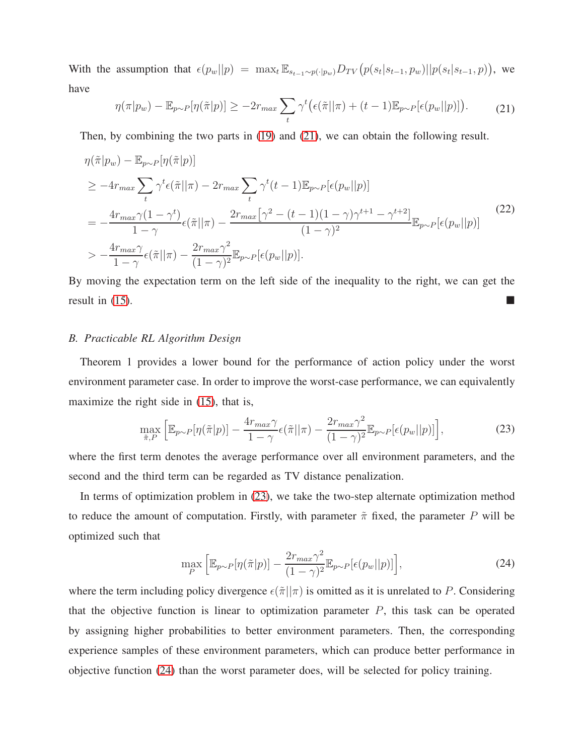With the assumption that  $\epsilon(p_w||p) = \max_t \mathbb{E}_{s_{t-1} \sim p(\cdot|p_w)} D_{TV}(p(s_t|s_{t-1}, p_w)||p(s_t|s_{t-1}, p))$ , we have

<span id="page-9-0"></span>
$$
\eta(\pi|p_w) - \mathbb{E}_{p \sim P}[\eta(\tilde{\pi}|p)] \ge -2r_{max} \sum_{t} \gamma^t \big(\epsilon(\tilde{\pi}||\pi) + (t-1)\mathbb{E}_{p \sim P}[\epsilon(p_w||p)]\big). \tag{21}
$$

Then, by combining the two parts in [\(19\)](#page-8-0) and [\(21\)](#page-9-0), we can obtain the following result.

$$
\eta(\tilde{\pi}|p_w) - \mathbb{E}_{p \sim P}[\eta(\tilde{\pi}|p)]
$$
\n
$$
\geq -4r_{max} \sum_{t} \gamma^{t} \epsilon(\tilde{\pi}||\pi) - 2r_{max} \sum_{t} \gamma^{t}(t-1) \mathbb{E}_{p \sim P}[\epsilon(p_w||p)]
$$
\n
$$
= -\frac{4r_{max}\gamma(1-\gamma^{t})}{1-\gamma} \epsilon(\tilde{\pi}||\pi) - \frac{2r_{max}[\gamma^{2} - (t-1)(1-\gamma)\gamma^{t+1} - \gamma^{t+2}]}{(1-\gamma)^{2}} \mathbb{E}_{p \sim P}[\epsilon(p_w||p)]
$$
\n
$$
> -\frac{4r_{max}\gamma}{1-\gamma} \epsilon(\tilde{\pi}||\pi) - \frac{2r_{max}\gamma^{2}}{(1-\gamma)^{2}} \mathbb{E}_{p \sim P}[\epsilon(p_w||p)]. \tag{22}
$$

By moving the expectation term on the left side of the inequality to the right, we can get the result in  $(15)$ .

## *B. Practicable RL Algorithm Design*

Theorem 1 provides a lower bound for the performance of action policy under the worst environment parameter case. In order to improve the worst-case performance, we can equivalently maximize the right side in  $(15)$ , that is,

<span id="page-9-1"></span>
$$
\max_{\tilde{\pi},P} \left[ \mathbb{E}_{p \sim P}[\eta(\tilde{\pi}|p)] - \frac{4r_{max}\gamma}{1-\gamma} \epsilon(\tilde{\pi}||\pi) - \frac{2r_{max}\gamma^2}{(1-\gamma)^2} \mathbb{E}_{p \sim P}[\epsilon(p_w||p)] \right],\tag{23}
$$

where the first term denotes the average performance over all environment parameters, and the second and the third term can be regarded as TV distance penalization.

In terms of optimization problem in [\(23\)](#page-9-1), we take the two-step alternate optimization method to reduce the amount of computation. Firstly, with parameter  $\tilde{\pi}$  fixed, the parameter P will be optimized such that

<span id="page-9-2"></span>
$$
\max_{P} \left[ \mathbb{E}_{p \sim P} [\eta(\tilde{\pi}|p)] - \frac{2r_{max}\gamma^2}{(1-\gamma)^2} \mathbb{E}_{p \sim P}[\epsilon(p_w||p)] \right],\tag{24}
$$

where the term including policy divergence  $\epsilon(\tilde{\pi}||\pi)$  is omitted as it is unrelated to P. Considering that the objective function is linear to optimization parameter  $P$ , this task can be operated by assigning higher probabilities to better environment parameters. Then, the corresponding experience samples of these environment parameters, which can produce better performance in objective function [\(24\)](#page-9-2) than the worst parameter does, will be selected for policy training.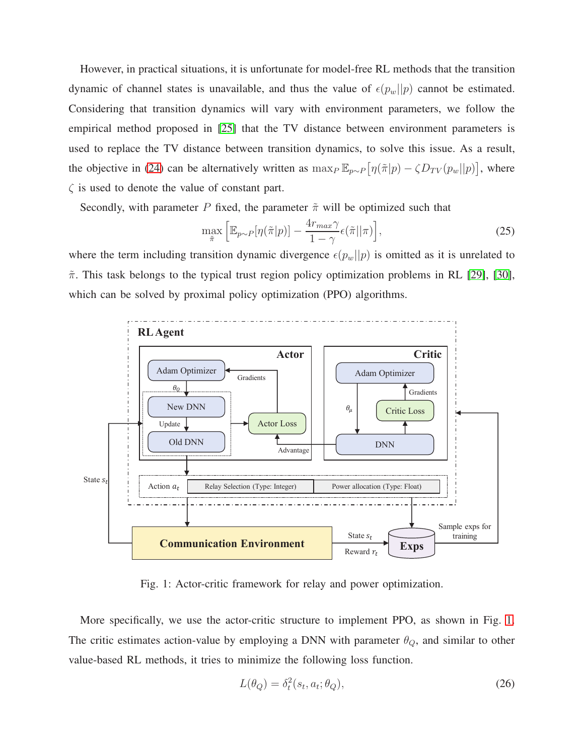However, in practical situations, it is unfortunate for model-free RL methods that the transition dynamic of channel states is unavailable, and thus the value of  $\epsilon(p_w||p)$  cannot be estimated. Considering that transition dynamics will vary with environment parameters, we follow the empirical method proposed in [\[25\]](#page-21-0) that the TV distance between environment parameters is used to replace the TV distance between transition dynamics, to solve this issue. As a result, the objective in [\(24\)](#page-9-2) can be alternatively written as  $\max_P \mathbb{E}_{p \sim P} [\eta(\pi|p) - \zeta D_{TV}(p_w||p)]$ , where  $\zeta$  is used to denote the value of constant part.

Secondly, with parameter P fixed, the parameter  $\tilde{\pi}$  will be optimized such that

$$
\max_{\tilde{\pi}} \left[ \mathbb{E}_{p \sim P} [\eta(\tilde{\pi}|p)] - \frac{4r_{max} \gamma}{1 - \gamma} \epsilon(\tilde{\pi}||\pi) \right],\tag{25}
$$

where the term including transition dynamic divergence  $\epsilon(p_w||p)$  is omitted as it is unrelated to  $\tilde{\pi}$ . This task belongs to the typical trust region policy optimization problems in RL [\[29\]](#page-21-4), [\[30\]](#page-21-5), which can be solved by proximal policy optimization (PPO) algorithms.

<span id="page-10-0"></span>

Fig. 1: Actor-critic framework for relay and power optimization.

More specifically, we use the actor-critic structure to implement PPO, as shown in Fig. [1.](#page-10-0) The critic estimates action-value by employing a DNN with parameter  $\theta_Q$ , and similar to other value-based RL methods, it tries to minimize the following loss function.

<span id="page-10-1"></span>
$$
L(\theta_Q) = \delta_t^2(s_t, a_t; \theta_Q),\tag{26}
$$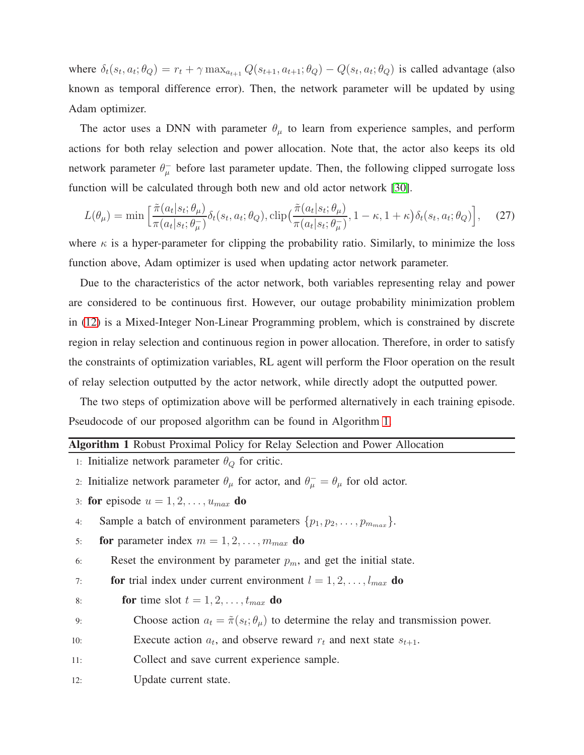where  $\delta_t(s_t, a_t; \theta_Q) = r_t + \gamma \max_{a_{t+1}} Q(s_{t+1}, a_{t+1}; \theta_Q) - Q(s_t, a_t; \theta_Q)$  is called advantage (also known as temporal difference error). Then, the network parameter will be updated by using Adam optimizer.

The actor uses a DNN with parameter  $\theta_{\mu}$  to learn from experience samples, and perform actions for both relay selection and power allocation. Note that, the actor also keeps its old network parameter  $\theta_{\mu}^-$  before last parameter update. Then, the following clipped surrogate loss function will be calculated through both new and old actor network [\[30\]](#page-21-5).

<span id="page-11-1"></span>
$$
L(\theta_{\mu}) = \min \left[ \frac{\tilde{\pi}(a_t|s_t; \theta_{\mu})}{\pi(a_t|s_t; \theta_{\mu})} \delta_t(s_t, a_t; \theta_Q), \text{clip}(\frac{\tilde{\pi}(a_t|s_t; \theta_{\mu})}{\pi(a_t|s_t; \theta_{\mu})}, 1 - \kappa, 1 + \kappa) \delta_t(s_t, a_t; \theta_Q) \right], \quad (27)
$$

where  $\kappa$  is a hyper-parameter for clipping the probability ratio. Similarly, to minimize the loss function above, Adam optimizer is used when updating actor network parameter.

Due to the characteristics of the actor network, both variables representing relay and power are considered to be continuous first. However, our outage probability minimization problem in [\(12\)](#page-6-3) is a Mixed-Integer Non-Linear Programming problem, which is constrained by discrete region in relay selection and continuous region in power allocation. Therefore, in order to satisfy the constraints of optimization variables, RL agent will perform the Floor operation on the result of relay selection outputted by the actor network, while directly adopt the outputted power.

The two steps of optimization above will be performed alternatively in each training episode. Pseudocode of our proposed algorithm can be found in Algorithm [1.](#page-11-0)

# <span id="page-11-0"></span>Algorithm 1 Robust Proximal Policy for Relay Selection and Power Allocation

1: Initialize network parameter  $\theta_Q$  for critic.

- 2: Initialize network parameter  $\theta_{\mu}$  for actor, and  $\theta_{\mu}^{-} = \theta_{\mu}$  for old actor.
- 3: for episode  $u = 1, 2, \ldots, u_{max}$  do
- 4: Sample a batch of environment parameters  $\{p_1, p_2, \ldots, p_{m_{max}}\}.$
- 5: **for** parameter index  $m = 1, 2, ..., m_{max}$  **do**

6: Reset the environment by parameter  $p_m$ , and get the initial state.

- 7: **for** trial index under current environment  $l = 1, 2, \ldots, l_{max}$  do
- 8: **for** time slot  $t = 1, 2, \ldots, t_{max}$  do
- 9: Choose action  $a_t = \tilde{\pi}(s_t; \theta_\mu)$  to determine the relay and transmission power.
- 10: Execute action  $a_t$ , and observe reward  $r_t$  and next state  $s_{t+1}$ .
- 11: Collect and save current experience sample.
- 12: Update current state.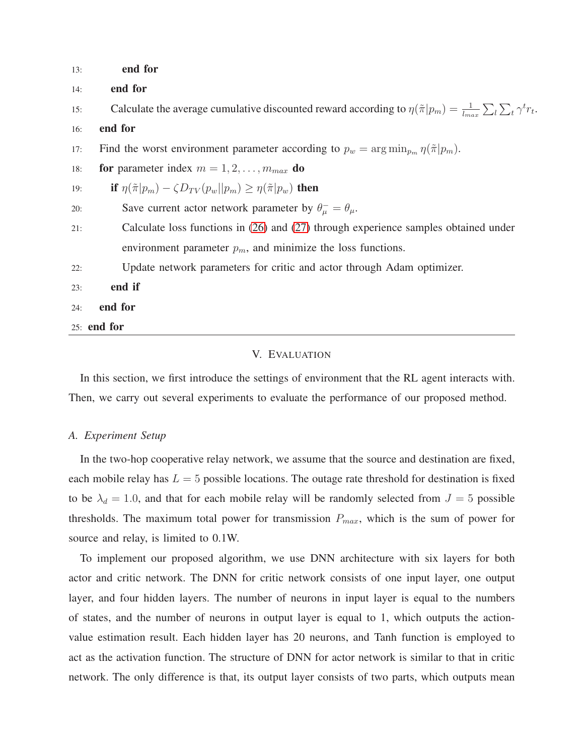| 13: | end for                                                                                                                                  |  |  |  |  |  |  |
|-----|------------------------------------------------------------------------------------------------------------------------------------------|--|--|--|--|--|--|
| 14: | end for                                                                                                                                  |  |  |  |  |  |  |
| 15: | Calculate the average cumulative discounted reward according to $\eta(\tilde{\pi} p_m) = \frac{1}{l_{max}} \sum_l \sum_t \gamma^t r_t$ . |  |  |  |  |  |  |
| 16: | end for                                                                                                                                  |  |  |  |  |  |  |
| 17: | Find the worst environment parameter according to $p_w = \arg \min_{p_m} \eta(\tilde{\pi} p_m)$ .                                        |  |  |  |  |  |  |
| 18: | for parameter index $m = 1, 2, , m_{max}$ do                                                                                             |  |  |  |  |  |  |
| 19: | if $\eta(\tilde{\pi} p_m) - \zeta D_{TV}(p_w  p_m) \geq \eta(\tilde{\pi} p_w)$ then                                                      |  |  |  |  |  |  |
| 20: | Save current actor network parameter by $\theta_{\mu}^- = \theta_{\mu}$ .                                                                |  |  |  |  |  |  |
| 21: | Calculate loss functions in (26) and (27) through experience samples obtained under                                                      |  |  |  |  |  |  |
|     | environment parameter $p_m$ , and minimize the loss functions.                                                                           |  |  |  |  |  |  |
| 22: | Update network parameters for critic and actor through Adam optimizer.                                                                   |  |  |  |  |  |  |
| 23: | end if                                                                                                                                   |  |  |  |  |  |  |
| 24: | end for                                                                                                                                  |  |  |  |  |  |  |
|     | $25:$ end for                                                                                                                            |  |  |  |  |  |  |

## V. EVALUATION

<span id="page-12-0"></span>In this section, we first introduce the settings of environment that the RL agent interacts with. Then, we carry out several experiments to evaluate the performance of our proposed method.

## *A. Experiment Setup*

In the two-hop cooperative relay network, we assume that the source and destination are fixed, each mobile relay has  $L = 5$  possible locations. The outage rate threshold for destination is fixed to be  $\lambda_d = 1.0$ , and that for each mobile relay will be randomly selected from  $J = 5$  possible thresholds. The maximum total power for transmission  $P_{max}$ , which is the sum of power for source and relay, is limited to 0.1W.

To implement our proposed algorithm, we use DNN architecture with six layers for both actor and critic network. The DNN for critic network consists of one input layer, one output layer, and four hidden layers. The number of neurons in input layer is equal to the numbers of states, and the number of neurons in output layer is equal to 1, which outputs the actionvalue estimation result. Each hidden layer has 20 neurons, and Tanh function is employed to act as the activation function. The structure of DNN for actor network is similar to that in critic network. The only difference is that, its output layer consists of two parts, which outputs mean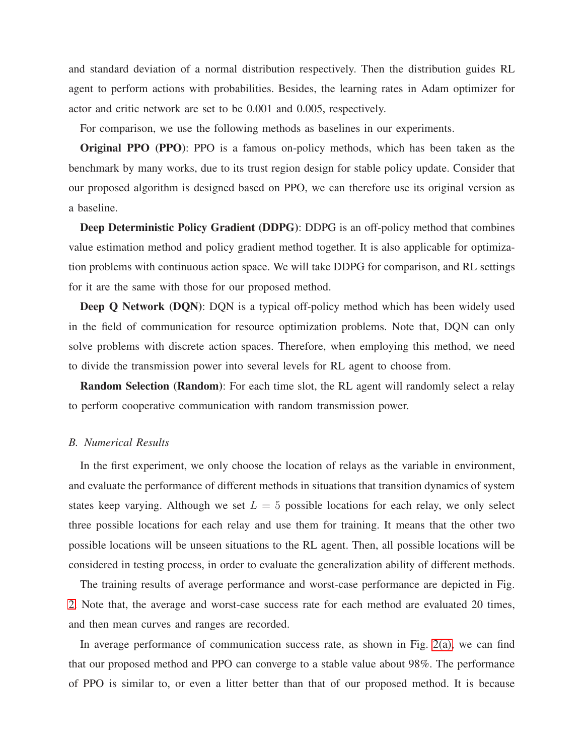and standard deviation of a normal distribution respectively. Then the distribution guides RL agent to perform actions with probabilities. Besides, the learning rates in Adam optimizer for actor and critic network are set to be 0.001 and 0.005, respectively.

For comparison, we use the following methods as baselines in our experiments.

Original PPO (PPO): PPO is a famous on-policy methods, which has been taken as the benchmark by many works, due to its trust region design for stable policy update. Consider that our proposed algorithm is designed based on PPO, we can therefore use its original version as a baseline.

Deep Deterministic Policy Gradient (DDPG): DDPG is an off-policy method that combines value estimation method and policy gradient method together. It is also applicable for optimization problems with continuous action space. We will take DDPG for comparison, and RL settings for it are the same with those for our proposed method.

Deep Q Network (DQN): DQN is a typical off-policy method which has been widely used in the field of communication for resource optimization problems. Note that, DQN can only solve problems with discrete action spaces. Therefore, when employing this method, we need to divide the transmission power into several levels for RL agent to choose from.

Random Selection (Random): For each time slot, the RL agent will randomly select a relay to perform cooperative communication with random transmission power.

#### *B. Numerical Results*

In the first experiment, we only choose the location of relays as the variable in environment, and evaluate the performance of different methods in situations that transition dynamics of system states keep varying. Although we set  $L = 5$  possible locations for each relay, we only select three possible locations for each relay and use them for training. It means that the other two possible locations will be unseen situations to the RL agent. Then, all possible locations will be considered in testing process, in order to evaluate the generalization ability of different methods.

The training results of average performance and worst-case performance are depicted in Fig. [2.](#page-14-0) Note that, the average and worst-case success rate for each method are evaluated 20 times, and then mean curves and ranges are recorded.

In average performance of communication success rate, as shown in Fig. [2\(a\),](#page-14-1) we can find that our proposed method and PPO can converge to a stable value about 98%. The performance of PPO is similar to, or even a litter better than that of our proposed method. It is because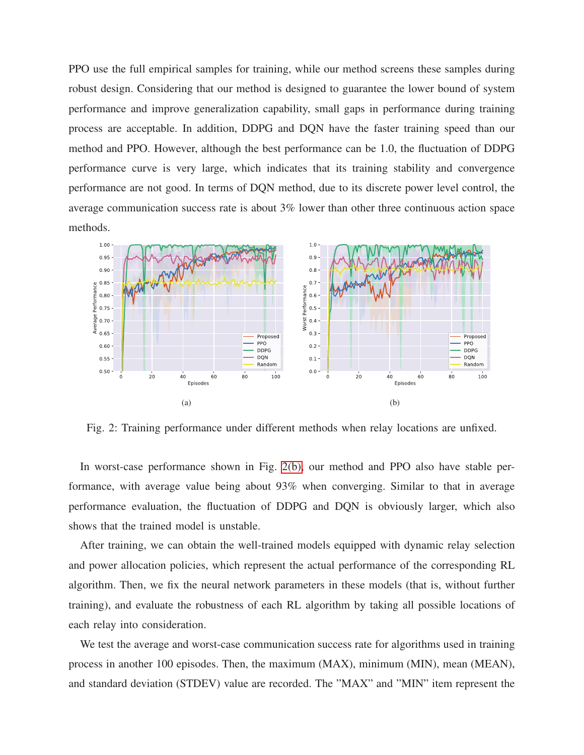PPO use the full empirical samples for training, while our method screens these samples during robust design. Considering that our method is designed to guarantee the lower bound of system performance and improve generalization capability, small gaps in performance during training process are acceptable. In addition, DDPG and DQN have the faster training speed than our method and PPO. However, although the best performance can be 1.0, the fluctuation of DDPG performance curve is very large, which indicates that its training stability and convergence performance are not good. In terms of DQN method, due to its discrete power level control, the average communication success rate is about 3% lower than other three continuous action space methods.

<span id="page-14-1"></span><span id="page-14-0"></span>

<span id="page-14-2"></span>Fig. 2: Training performance under different methods when relay locations are unfixed.

In worst-case performance shown in Fig. [2\(b\),](#page-14-2) our method and PPO also have stable performance, with average value being about 93% when converging. Similar to that in average performance evaluation, the fluctuation of DDPG and DQN is obviously larger, which also shows that the trained model is unstable.

After training, we can obtain the well-trained models equipped with dynamic relay selection and power allocation policies, which represent the actual performance of the corresponding RL algorithm. Then, we fix the neural network parameters in these models (that is, without further training), and evaluate the robustness of each RL algorithm by taking all possible locations of each relay into consideration.

We test the average and worst-case communication success rate for algorithms used in training process in another 100 episodes. Then, the maximum (MAX), minimum (MIN), mean (MEAN), and standard deviation (STDEV) value are recorded. The "MAX" and "MIN" item represent the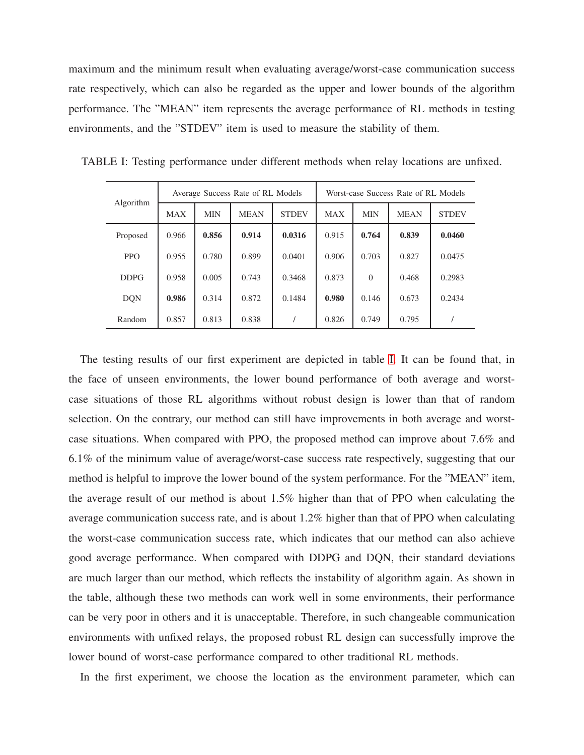maximum and the minimum result when evaluating average/worst-case communication success rate respectively, which can also be regarded as the upper and lower bounds of the algorithm performance. The "MEAN" item represents the average performance of RL methods in testing environments, and the "STDEV" item is used to measure the stability of them.

|             | Average Success Rate of RL Models |            |             |              | Worst-case Success Rate of RL Models |            |             |              |
|-------------|-----------------------------------|------------|-------------|--------------|--------------------------------------|------------|-------------|--------------|
| Algorithm   | <b>MAX</b>                        | <b>MIN</b> | <b>MEAN</b> | <b>STDEV</b> | <b>MAX</b>                           | <b>MIN</b> | <b>MEAN</b> | <b>STDEV</b> |
| Proposed    | 0.966                             | 0.856      | 0.914       | 0.0316       | 0.915                                | 0.764      | 0.839       | 0.0460       |
| <b>PPO</b>  | 0.955                             | 0.780      | 0.899       | 0.0401       | 0.906                                | 0.703      | 0.827       | 0.0475       |
| <b>DDPG</b> | 0.958                             | 0.005      | 0.743       | 0.3468       | 0.873                                | $\Omega$   | 0.468       | 0.2983       |
| <b>DQN</b>  | 0.986                             | 0.314      | 0.872       | 0.1484       | 0.980                                | 0.146      | 0.673       | 0.2434       |
| Random      | 0.857                             | 0.813      | 0.838       |              | 0.826                                | 0.749      | 0.795       |              |

<span id="page-15-0"></span>TABLE I: Testing performance under different methods when relay locations are unfixed.

The testing results of our first experiment are depicted in table [I.](#page-15-0) It can be found that, in the face of unseen environments, the lower bound performance of both average and worstcase situations of those RL algorithms without robust design is lower than that of random selection. On the contrary, our method can still have improvements in both average and worstcase situations. When compared with PPO, the proposed method can improve about 7.6% and 6.1% of the minimum value of average/worst-case success rate respectively, suggesting that our method is helpful to improve the lower bound of the system performance. For the "MEAN" item, the average result of our method is about 1.5% higher than that of PPO when calculating the average communication success rate, and is about 1.2% higher than that of PPO when calculating the worst-case communication success rate, which indicates that our method can also achieve good average performance. When compared with DDPG and DQN, their standard deviations are much larger than our method, which reflects the instability of algorithm again. As shown in the table, although these two methods can work well in some environments, their performance can be very poor in others and it is unacceptable. Therefore, in such changeable communication environments with unfixed relays, the proposed robust RL design can successfully improve the lower bound of worst-case performance compared to other traditional RL methods.

In the first experiment, we choose the location as the environment parameter, which can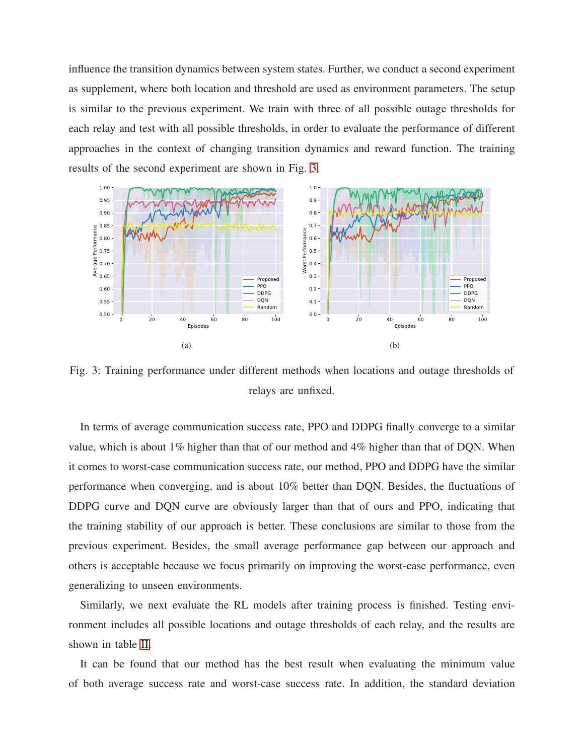influence the transition dynamics between system states. Further, we conduct a second experiment as supplement, where both location and threshold are used as environment parameters. The setup is similar to the previous experiment. We train with three of all possible outage thresholds for each relay and test with all possible thresholds, in order to evaluate the performance of different approaches in the context of changing transition dynamics and reward function. The training results of the second experiment are shown in Fig. [3.](#page-16-0)

<span id="page-16-0"></span>

Fig. 3: Training performance under different methods when locations and outage thresholds of relays are unfixed.

In terms of average communication success rate, PPO and DDPG finally converge to a similar value, which is about  $1\%$  higher than that of our method and  $4\%$  higher than that of DQN. When it comes to worst-case communication success rate, our method, PPO and DDPG have the similar performance when converging, and is about 10% better than DQN. Besides, the fluctuations of DDPG curve and DQN curve are obviously larger than that of ours and PPO, indicating that the training stability of our approach is better. These conclusions are similar to those from the previous experiment. Besides, the small average performance gap between our approach and others is acceptable because we focus primarily on improving the worst-case performance, even generalizing to unseen environments.

Similarly, we next evaluate the RL models after training process is finished. Testing environment includes all possible locations and outage thresholds of each relay, and the results are shown in table [II.](#page-17-1)

It can be found that our method has the best result when evaluating the minimum value of both average success rate and worst-case success rate. In addition, the standard deviation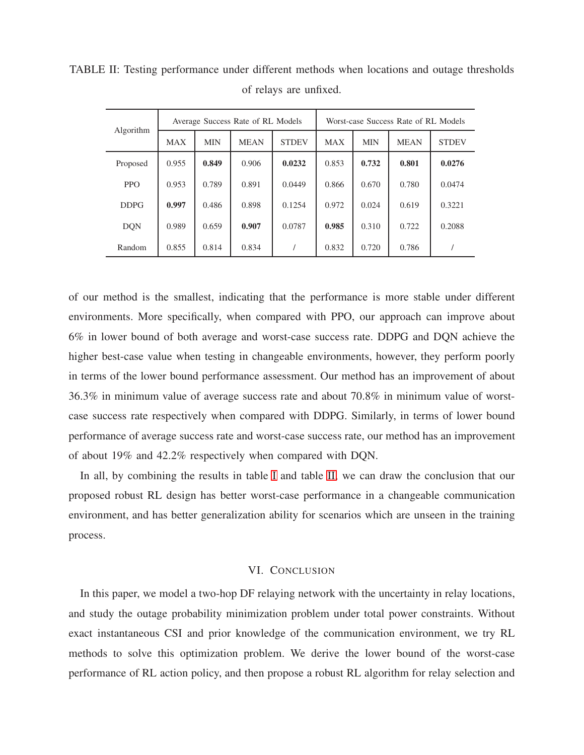| Algorithm   | Average Success Rate of RL Models |            |             |              | Worst-case Success Rate of RL Models |            |             |              |
|-------------|-----------------------------------|------------|-------------|--------------|--------------------------------------|------------|-------------|--------------|
|             | <b>MAX</b>                        | <b>MIN</b> | <b>MEAN</b> | <b>STDEV</b> | <b>MAX</b>                           | <b>MIN</b> | <b>MEAN</b> | <b>STDEV</b> |
| Proposed    | 0.955                             | 0.849      | 0.906       | 0.0232       | 0.853                                | 0.732      | 0.801       | 0.0276       |
| <b>PPO</b>  | 0.953                             | 0.789      | 0.891       | 0.0449       | 0.866                                | 0.670      | 0.780       | 0.0474       |
| <b>DDPG</b> | 0.997                             | 0.486      | 0.898       | 0.1254       | 0.972                                | 0.024      | 0.619       | 0.3221       |
| <b>DON</b>  | 0.989                             | 0.659      | 0.907       | 0.0787       | 0.985                                | 0.310      | 0.722       | 0.2088       |
| Random      | 0.855                             | 0.814      | 0.834       |              | 0.832                                | 0.720      | 0.786       |              |

<span id="page-17-1"></span>TABLE II: Testing performance under different methods when locations and outage thresholds of relays are unfixed.

of our method is the smallest, indicating that the performance is more stable under different environments. More specifically, when compared with PPO, our approach can improve about 6% in lower bound of both average and worst-case success rate. DDPG and DQN achieve the higher best-case value when testing in changeable environments, however, they perform poorly in terms of the lower bound performance assessment. Our method has an improvement of about 36.3% in minimum value of average success rate and about 70.8% in minimum value of worstcase success rate respectively when compared with DDPG. Similarly, in terms of lower bound performance of average success rate and worst-case success rate, our method has an improvement of about 19% and 42.2% respectively when compared with DQN.

In all, by combining the results in table [I](#page-15-0) and table [II,](#page-17-1) we can draw the conclusion that our proposed robust RL design has better worst-case performance in a changeable communication environment, and has better generalization ability for scenarios which are unseen in the training process.

#### VI. CONCLUSION

<span id="page-17-0"></span>In this paper, we model a two-hop DF relaying network with the uncertainty in relay locations, and study the outage probability minimization problem under total power constraints. Without exact instantaneous CSI and prior knowledge of the communication environment, we try RL methods to solve this optimization problem. We derive the lower bound of the worst-case performance of RL action policy, and then propose a robust RL algorithm for relay selection and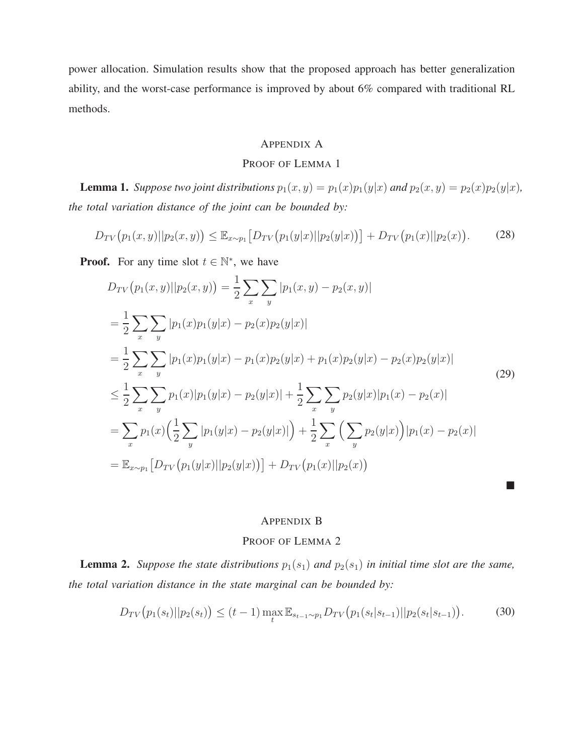power allocation. Simulation results show that the proposed approach has better generalization ability, and the worst-case performance is improved by about 6% compared with traditional RL methods.

# APPENDIX A

## PROOF OF LEMMA 1

**Lemma 1.** Suppose two joint distributions  $p_1(x, y) = p_1(x)p_1(y|x)$  and  $p_2(x, y) = p_2(x)p_2(y|x)$ , *the total variation distance of the joint can be bounded by:*

$$
D_{TV}(p_1(x,y)||p_2(x,y)) \leq \mathbb{E}_{x \sim p_1} \left[ D_{TV}(p_1(y|x)||p_2(y|x)) \right] + D_{TV}(p_1(x)||p_2(x)). \tag{28}
$$

**Proof.** For any time slot  $t \in \mathbb{N}^*$ , we have

$$
D_{TV}(p_1(x, y)||p_2(x, y)) = \frac{1}{2} \sum_{x} \sum_{y} |p_1(x, y) - p_2(x, y)|
$$
  
\n
$$
= \frac{1}{2} \sum_{x} \sum_{y} |p_1(x)p_1(y|x) - p_2(x)p_2(y|x)|
$$
  
\n
$$
= \frac{1}{2} \sum_{x} \sum_{y} |p_1(x)p_1(y|x) - p_1(x)p_2(y|x) + p_1(x)p_2(y|x) - p_2(x)p_2(y|x)|
$$
  
\n
$$
\leq \frac{1}{2} \sum_{x} \sum_{y} p_1(x)|p_1(y|x) - p_2(y|x)| + \frac{1}{2} \sum_{x} \sum_{y} p_2(y|x)|p_1(x) - p_2(x)|
$$
  
\n
$$
= \sum_{x} p_1(x) \Big(\frac{1}{2} \sum_{y} |p_1(y|x) - p_2(y|x)|\Big) + \frac{1}{2} \sum_{x} \Big(\sum_{y} p_2(y|x)\Big)|p_1(x) - p_2(x)|
$$
  
\n
$$
= \mathbb{E}_{x \sim p_1} [D_{TV}(p_1(y|x)||p_2(y|x))] + D_{TV}(p_1(x)||p_2(x))
$$
\n(29)

## APPENDIX B

# PROOF OF LEMMA 2

**Lemma 2.** *Suppose the state distributions*  $p_1(s_1)$  *and*  $p_2(s_1)$  *in initial time slot are the same, the total variation distance in the state marginal can be bounded by:*

$$
D_{TV}(p_1(s_t)||p_2(s_t)) \le (t-1) \max_t \mathbb{E}_{s_{t-1} \sim p_1} D_{TV}(p_1(s_t|s_{t-1})||p_2(s_t|s_{t-1})).
$$
 (30)

**COL**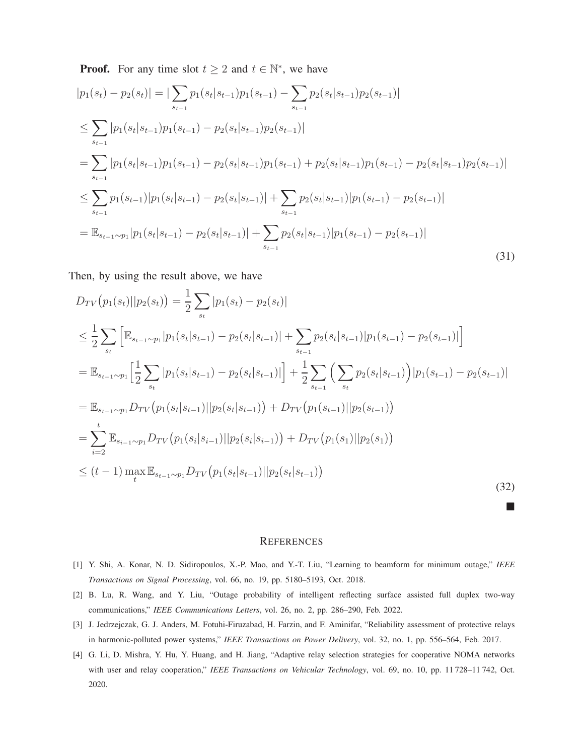**Proof.** For any time slot  $t \geq 2$  and  $t \in \mathbb{N}^*$ , we have

$$
|p_{1}(s_{t}) - p_{2}(s_{t})| = |\sum_{s_{t-1}} p_{1}(s_{t}|s_{t-1})p_{1}(s_{t-1}) - \sum_{s_{t-1}} p_{2}(s_{t}|s_{t-1})p_{2}(s_{t-1})|
$$
  
\n
$$
\leq \sum_{s_{t-1}} |p_{1}(s_{t}|s_{t-1})p_{1}(s_{t-1}) - p_{2}(s_{t}|s_{t-1})p_{2}(s_{t-1})|
$$
  
\n
$$
= \sum_{s_{t-1}} |p_{1}(s_{t}|s_{t-1})p_{1}(s_{t-1}) - p_{2}(s_{t}|s_{t-1})p_{1}(s_{t-1}) + p_{2}(s_{t}|s_{t-1})p_{1}(s_{t-1}) - p_{2}(s_{t}|s_{t-1})p_{2}(s_{t-1})|
$$
  
\n
$$
\leq \sum_{s_{t-1}} p_{1}(s_{t-1})|p_{1}(s_{t}|s_{t-1}) - p_{2}(s_{t}|s_{t-1})| + \sum_{s_{t-1}} p_{2}(s_{t}|s_{t-1})|p_{1}(s_{t-1}) - p_{2}(s_{t-1})|
$$
  
\n
$$
= \mathbb{E}_{s_{t-1} \sim p_{1}} |p_{1}(s_{t}|s_{t-1}) - p_{2}(s_{t}|s_{t-1})| + \sum_{s_{t-1}} p_{2}(s_{t}|s_{t-1})|p_{1}(s_{t-1}) - p_{2}(s_{t-1})|
$$
\n(31)

Then, by using the result above, we have

$$
D_{TV}(p_1(s_t)||p_2(s_t)) = \frac{1}{2} \sum_{s_t} |p_1(s_t) - p_2(s_t)|
$$
  
\n
$$
\leq \frac{1}{2} \sum_{s_t} \left[ \mathbb{E}_{s_{t-1} \sim p_1} [p_1(s_t|s_{t-1}) - p_2(s_t|s_{t-1})] + \sum_{s_{t-1}} p_2(s_t|s_{t-1}) |p_1(s_{t-1}) - p_2(s_{t-1})| \right]
$$
  
\n
$$
= \mathbb{E}_{s_{t-1} \sim p_1} \left[ \frac{1}{2} \sum_{s_t} |p_1(s_t|s_{t-1}) - p_2(s_t|s_{t-1})| \right] + \frac{1}{2} \sum_{s_{t-1}} \left( \sum_{s_t} p_2(s_t|s_{t-1}) \right) |p_1(s_{t-1}) - p_2(s_{t-1})|
$$
  
\n
$$
= \mathbb{E}_{s_{t-1} \sim p_1} D_{TV}(p_1(s_t|s_{t-1}) ||p_2(s_t|s_{t-1})) + D_{TV}(p_1(s_{t-1}) ||p_2(s_{t-1}))
$$
  
\n
$$
= \sum_{i=2}^t \mathbb{E}_{s_{i-1} \sim p_1} D_{TV}(p_1(s_i|s_{i-1}) ||p_2(s_i|s_{t-1})) + D_{TV}(p_1(s_1)||p_2(s_1))
$$
  
\n
$$
\leq (t-1) \max_{t} \mathbb{E}_{s_{t-1} \sim p_1} D_{TV}(p_1(s_t|s_{t-1}) ||p_2(s_t|s_{t-1}))
$$
\n(32)

#### **REFERENCES**

**Contract** 

- <span id="page-19-1"></span><span id="page-19-0"></span>[1] Y. Shi, A. Konar, N. D. Sidiropoulos, X.-P. Mao, and Y.-T. Liu, "Learning to beamform for minimum outage," *IEEE Transactions on Signal Processing*, vol. 66, no. 19, pp. 5180–5193, Oct. 2018.
- <span id="page-19-2"></span>[2] B. Lu, R. Wang, and Y. Liu, "Outage probability of intelligent reflecting surface assisted full duplex two-way communications," *IEEE Communications Letters*, vol. 26, no. 2, pp. 286–290, Feb. 2022.
- [3] J. Jedrzejczak, G. J. Anders, M. Fotuhi-Firuzabad, H. Farzin, and F. Aminifar, "Reliability assessment of protective relays in harmonic-polluted power systems," *IEEE Transactions on Power Delivery*, vol. 32, no. 1, pp. 556–564, Feb. 2017.
- [4] G. Li, D. Mishra, Y. Hu, Y. Huang, and H. Jiang, "Adaptive relay selection strategies for cooperative NOMA networks with user and relay cooperation," *IEEE Transactions on Vehicular Technology*, vol. 69, no. 10, pp. 11 728–11 742, Oct. 2020.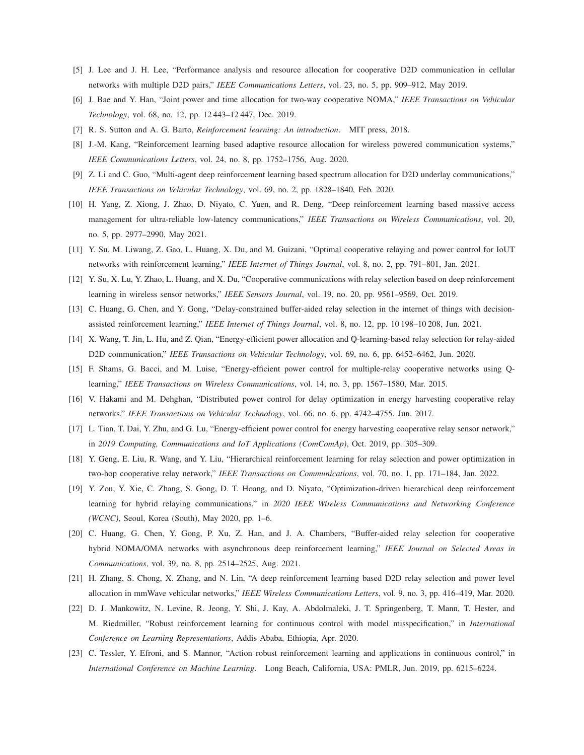- <span id="page-20-0"></span>[5] J. Lee and J. H. Lee, "Performance analysis and resource allocation for cooperative D2D communication in cellular networks with multiple D2D pairs," *IEEE Communications Letters*, vol. 23, no. 5, pp. 909–912, May 2019.
- <span id="page-20-1"></span>[6] J. Bae and Y. Han, "Joint power and time allocation for two-way cooperative NOMA," *IEEE Transactions on Vehicular Technology*, vol. 68, no. 12, pp. 12 443–12 447, Dec. 2019.
- <span id="page-20-2"></span>[7] R. S. Sutton and A. G. Barto, *Reinforcement learning: An introduction*. MIT press, 2018.
- [8] J.-M. Kang, "Reinforcement learning based adaptive resource allocation for wireless powered communication systems," *IEEE Communications Letters*, vol. 24, no. 8, pp. 1752–1756, Aug. 2020.
- <span id="page-20-3"></span>[9] Z. Li and C. Guo, "Multi-agent deep reinforcement learning based spectrum allocation for D2D underlay communications," *IEEE Transactions on Vehicular Technology*, vol. 69, no. 2, pp. 1828–1840, Feb. 2020.
- [10] H. Yang, Z. Xiong, J. Zhao, D. Niyato, C. Yuen, and R. Deng, "Deep reinforcement learning based massive access management for ultra-reliable low-latency communications," *IEEE Transactions on Wireless Communications*, vol. 20, no. 5, pp. 2977–2990, May 2021.
- <span id="page-20-5"></span><span id="page-20-4"></span>[11] Y. Su, M. Liwang, Z. Gao, L. Huang, X. Du, and M. Guizani, "Optimal cooperative relaying and power control for IoUT networks with reinforcement learning," *IEEE Internet of Things Journal*, vol. 8, no. 2, pp. 791–801, Jan. 2021.
- <span id="page-20-6"></span>[12] Y. Su, X. Lu, Y. Zhao, L. Huang, and X. Du, "Cooperative communications with relay selection based on deep reinforcement learning in wireless sensor networks," *IEEE Sensors Journal*, vol. 19, no. 20, pp. 9561–9569, Oct. 2019.
- <span id="page-20-7"></span>[13] C. Huang, G. Chen, and Y. Gong, "Delay-constrained buffer-aided relay selection in the internet of things with decisionassisted reinforcement learning," *IEEE Internet of Things Journal*, vol. 8, no. 12, pp. 10 198–10 208, Jun. 2021.
- <span id="page-20-8"></span>[14] X. Wang, T. Jin, L. Hu, and Z. Qian, "Energy-efficient power allocation and Q-learning-based relay selection for relay-aided D2D communication," *IEEE Transactions on Vehicular Technology*, vol. 69, no. 6, pp. 6452–6462, Jun. 2020.
- [15] F. Shams, G. Bacci, and M. Luise, "Energy-efficient power control for multiple-relay cooperative networks using Qlearning," *IEEE Transactions on Wireless Communications*, vol. 14, no. 3, pp. 1567–1580, Mar. 2015.
- <span id="page-20-9"></span>[16] V. Hakami and M. Dehghan, "Distributed power control for delay optimization in energy harvesting cooperative relay networks," *IEEE Transactions on Vehicular Technology*, vol. 66, no. 6, pp. 4742–4755, Jun. 2017.
- <span id="page-20-10"></span>[17] L. Tian, T. Dai, Y. Zhu, and G. Lu, "Energy-efficient power control for energy harvesting cooperative relay sensor network," in *2019 Computing, Communications and IoT Applications (ComComAp)*, Oct. 2019, pp. 305–309.
- <span id="page-20-11"></span>[18] Y. Geng, E. Liu, R. Wang, and Y. Liu, "Hierarchical reinforcement learning for relay selection and power optimization in two-hop cooperative relay network," *IEEE Transactions on Communications*, vol. 70, no. 1, pp. 171–184, Jan. 2022.
- [19] Y. Zou, Y. Xie, C. Zhang, S. Gong, D. T. Hoang, and D. Niyato, "Optimization-driven hierarchical deep reinforcement learning for hybrid relaying communications," in *2020 IEEE Wireless Communications and Networking Conference (WCNC)*, Seoul, Korea (South), May 2020, pp. 1–6.
- <span id="page-20-12"></span>[20] C. Huang, G. Chen, Y. Gong, P. Xu, Z. Han, and J. A. Chambers, "Buffer-aided relay selection for cooperative hybrid NOMA/OMA networks with asynchronous deep reinforcement learning," *IEEE Journal on Selected Areas in Communications*, vol. 39, no. 8, pp. 2514–2525, Aug. 2021.
- <span id="page-20-14"></span><span id="page-20-13"></span>[21] H. Zhang, S. Chong, X. Zhang, and N. Lin, "A deep reinforcement learning based D2D relay selection and power level allocation in mmWave vehicular networks," *IEEE Wireless Communications Letters*, vol. 9, no. 3, pp. 416–419, Mar. 2020.
- [22] D. J. Mankowitz, N. Levine, R. Jeong, Y. Shi, J. Kay, A. Abdolmaleki, J. T. Springenberg, T. Mann, T. Hester, and M. Riedmiller, "Robust reinforcement learning for continuous control with model misspecification," in *International Conference on Learning Representations*, Addis Ababa, Ethiopia, Apr. 2020.
- [23] C. Tessler, Y. Efroni, and S. Mannor, "Action robust reinforcement learning and applications in continuous control," in *International Conference on Machine Learning*. Long Beach, California, USA: PMLR, Jun. 2019, pp. 6215–6224.